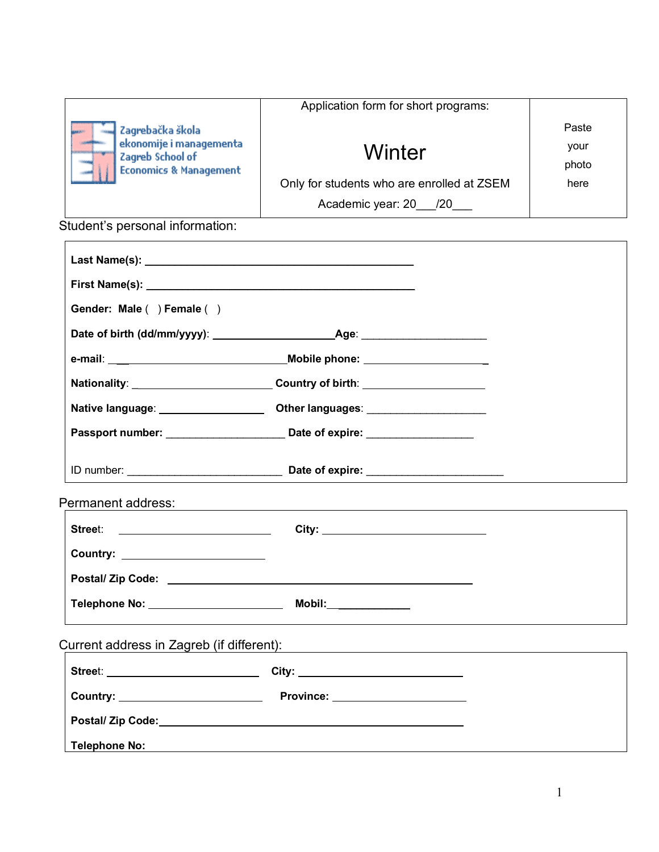| Zagrebačka škola<br>$^{\circ}$ ekonomije i managementa $^{\circ}$<br>Zagreb School of<br><b>Economics &amp; Management</b> | Application form for short programs:       |       |
|----------------------------------------------------------------------------------------------------------------------------|--------------------------------------------|-------|
|                                                                                                                            |                                            | Paste |
|                                                                                                                            | Winter                                     | your  |
|                                                                                                                            |                                            | photo |
|                                                                                                                            | Only for students who are enrolled at ZSEM | here  |
|                                                                                                                            | Academic year: 20 /20                      |       |

Student's personal information:

| Gender: Male () Female ()                 |                                                                                  |  |
|-------------------------------------------|----------------------------------------------------------------------------------|--|
|                                           |                                                                                  |  |
|                                           |                                                                                  |  |
|                                           | Nationality: _________________________________Country of birth: ________________ |  |
| Native language: __________________       | Other languages: ______________________                                          |  |
|                                           |                                                                                  |  |
|                                           |                                                                                  |  |
| Permanent address:                        |                                                                                  |  |
|                                           |                                                                                  |  |
| Country: _________________________        |                                                                                  |  |
|                                           |                                                                                  |  |
| Telephone No: _______________________     | Mobil:_______________                                                            |  |
| Current address in Zagreb (if different): |                                                                                  |  |
|                                           |                                                                                  |  |
|                                           | <b>Country:</b> Province:                                                        |  |
|                                           |                                                                                  |  |
| <b>Telephone No:</b>                      |                                                                                  |  |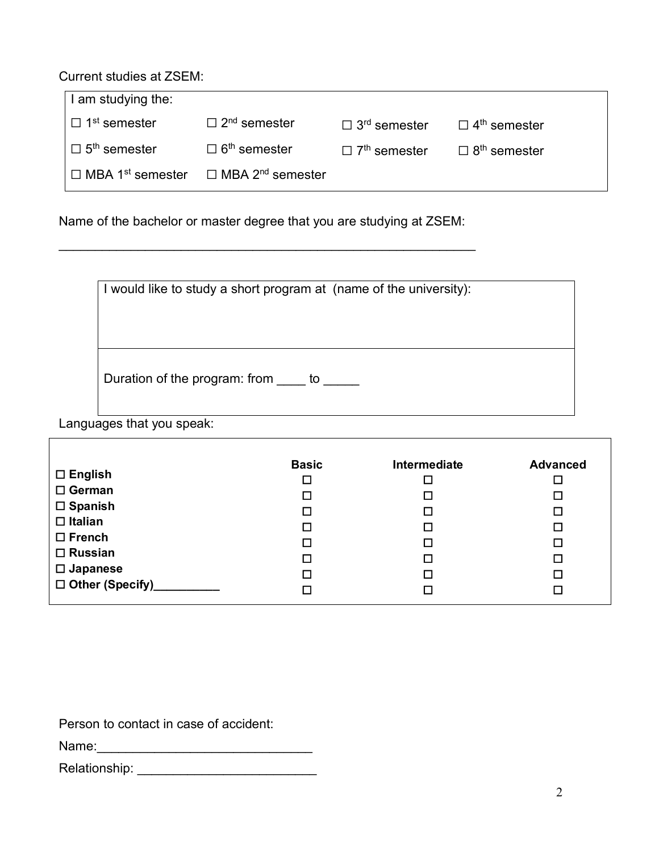Current studies at ZSEM:

| I am studying the:                  |                                     |                                 |                                 |
|-------------------------------------|-------------------------------------|---------------------------------|---------------------------------|
| $\Box$ 1 <sup>st</sup> semester     | $\Box$ 2 <sup>nd</sup> semester     | $\Box$ 3 <sup>rd</sup> semester | $\Box$ 4 <sup>th</sup> semester |
| $\Box$ 5 <sup>th</sup> semester     | $\Box$ 6 <sup>th</sup> semester     | $\Box$ 7 <sup>th</sup> semester | $\Box$ 8 <sup>th</sup> semester |
| $\Box$ MBA 1 <sup>st</sup> semester | $\Box$ MBA 2 <sup>nd</sup> semester |                                 |                                 |

Name of the bachelor or master degree that you are studying at ZSEM:

 $\mathcal{L}_\text{max}$  , and the contribution of the contribution of the contribution of the contribution of the contribution of the contribution of the contribution of the contribution of the contribution of the contribution of t

|                                  | I would like to study a short program at (name of the university): |
|----------------------------------|--------------------------------------------------------------------|
|                                  |                                                                    |
|                                  |                                                                    |
| Duration of the program: from to |                                                                    |

Languages that you speak:

|                    | <b>Basic</b> | Intermediate | <b>Advanced</b> |
|--------------------|--------------|--------------|-----------------|
| $\Box$ English     | □            |              |                 |
| $\Box$ German      | □            |              | $\Box$          |
| $\square$ Spanish  | □            |              | □               |
| $\Box$ Italian     | □            | $\Box$       | □               |
| $\Box$ French      | □            | $\Box$       | □               |
| $\Box$ Russian     | □            | ◻            | □               |
| $\square$ Japanese | □            | □            | □               |
| □ Other (Specify)  | □            |              |                 |

Person to contact in case of accident:

| Name: |  |  |  |
|-------|--|--|--|
|       |  |  |  |

| Relationship: |  |  |
|---------------|--|--|
|---------------|--|--|